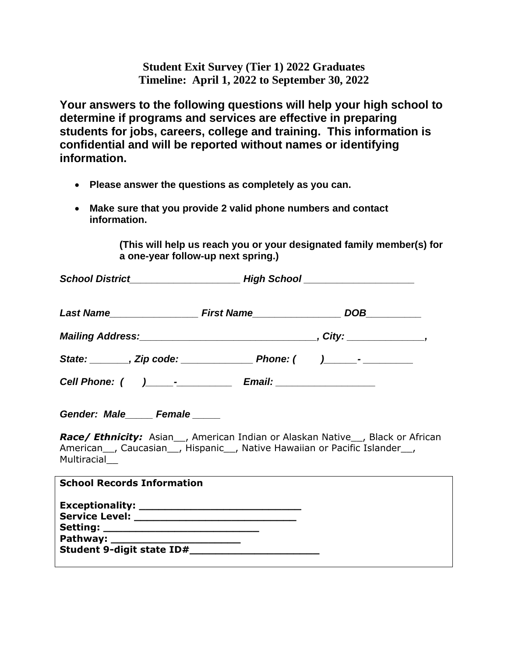**Student Exit Survey (Tier 1) 2022 Graduates Timeline: April 1, 2022 to September 30, 2022**

**Your answers to the following questions will help your high school to determine if programs and services are effective in preparing students for jobs, careers, college and training. This information is confidential and will be reported without names or identifying information.** 

- **Please answer the questions as completely as you can.**
- **Make sure that you provide 2 valid phone numbers and contact information.**

**(This will help us reach you or your designated family member(s) for a one-year follow-up next spring.)**

| Gender: Male_____ Female_____<br>Race/ Ethnicity: Asian_, American Indian or Alaskan Native_, Black or African<br>American <sub>,</sub> Caucasian <sub>,</sub> Hispanic, Native Hawaiian or Pacific Islander,<br>Multiracial |  |
|------------------------------------------------------------------------------------------------------------------------------------------------------------------------------------------------------------------------------|--|
| <b>School Records Information</b>                                                                                                                                                                                            |  |
| Setting: ____________________________                                                                                                                                                                                        |  |